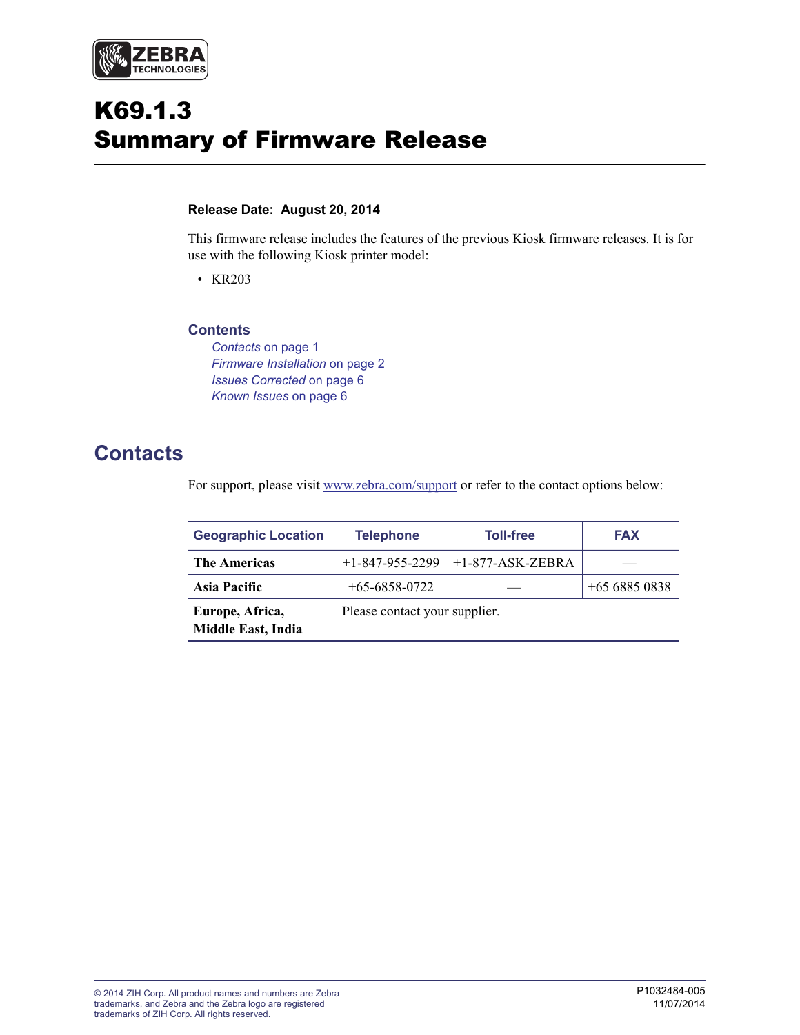

# K69.1.3 Summary of Firmware Release

#### **Release Date: August 20, 2014**

This firmware release includes the features of the previous Kiosk firmware releases. It is for use with the following Kiosk printer model:

• KR203

#### **Contents**

*Contacts* [on page 1](#page-0-0) *[Firmware Installation](#page-1-0)* on page 2 *[Issues Corrected](#page-5-0)* on page 6 *[Known Issues](#page-5-1)* on page 6

# <span id="page-0-0"></span>**Contacts**

For support, please visit [w](http://www.zebra.com/support)ww.zebra.com/support or refer to the contact options below:

| <b>Geographic Location</b>                   | <b>Telephone</b>              | <b>Toll-free</b>   | <b>FAX</b>    |  |  |
|----------------------------------------------|-------------------------------|--------------------|---------------|--|--|
| <b>The Americas</b>                          | $+1-847-955-2299$             | $+1-877-ASK-ZEBRA$ |               |  |  |
| Asia Pacific                                 | $+65 - 6858 - 0722$           |                    | $+6568850838$ |  |  |
| Europe, Africa,<br><b>Middle East, India</b> | Please contact your supplier. |                    |               |  |  |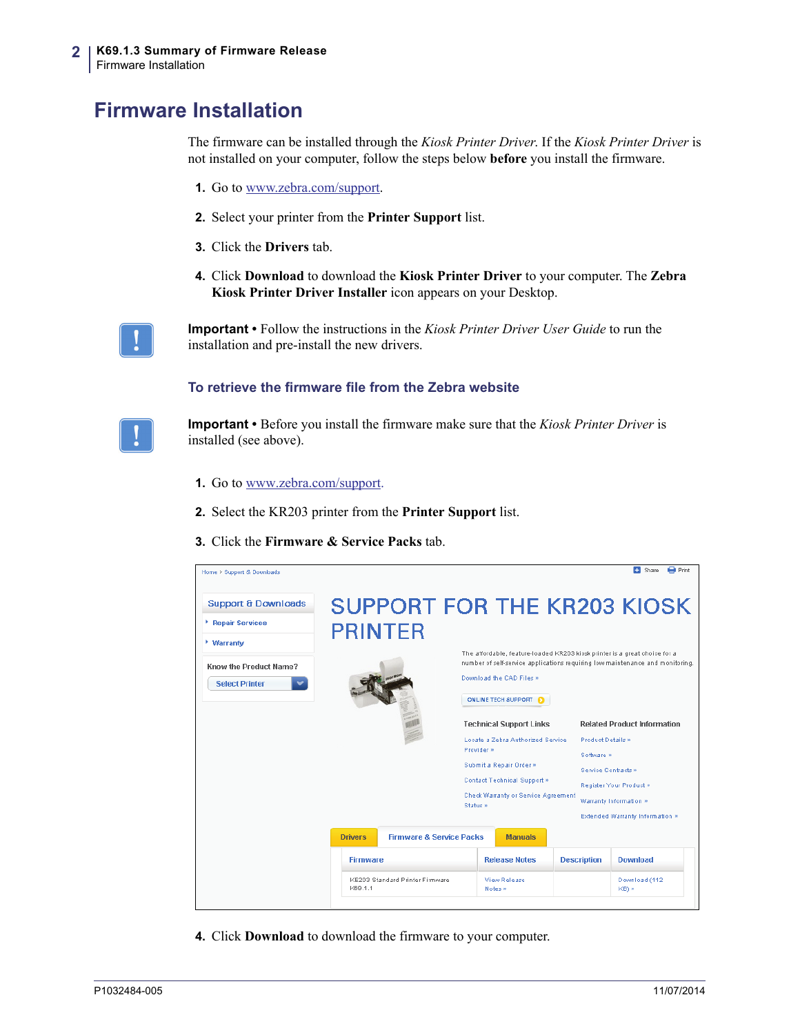# <span id="page-1-0"></span>**Firmware Installation**

The firmware can be installed through the *Kiosk Printer Driver*. If the *Kiosk Printer Driver* is not installed on your computer, follow the steps below **before** you install the firmware.

- **1.** Go to [www.zebra.com/support.](http://www.zebra.com/support)
- **2.** Select your printer from the **Printer Support** list.
- **3.** Click the **Drivers** tab.
- **4.** Click **Download** to download the **Kiosk Printer Driver** to your computer. The **Zebra Kiosk Printer Driver Installer** icon appears on your Desktop.

**Important •** Follow the instructions in the *Kiosk Printer Driver User Guide* to run the installation and pre-install the new drivers.

#### **To retrieve the firmware file from the Zebra website**



**Important •** Before you install the firmware make sure that the *Kiosk Printer Driver* is installed (see above).

- **1.** Go to [www.zebra.com/support](http://www.zebra.com/support).
- **2.** Select the KR203 printer from the **Printer Support** list.
- **3.** Click the **Firmware & Service Packs** tab.

| Home > Support & Downloads           |                 |                                     |                                                                                                                                                                                         |                                                 |                    |                                          | E. Share<br><b>Ed</b> Print        |  |
|--------------------------------------|-----------------|-------------------------------------|-----------------------------------------------------------------------------------------------------------------------------------------------------------------------------------------|-------------------------------------------------|--------------------|------------------------------------------|------------------------------------|--|
| <b>Support &amp; Downloads</b>       |                 |                                     |                                                                                                                                                                                         |                                                 |                    |                                          | <b>SUPPORT FOR THE KR203 KIOSK</b> |  |
| <b>Exercise Services</b>             | <b>PRINTER</b>  |                                     |                                                                                                                                                                                         |                                                 |                    |                                          |                                    |  |
| * Warranty<br>Know the Product Name? |                 |                                     | The affordable, feature-loaded KR203 kiosk printer is a great choice for a<br>number of self-service applications requiring low maintenance and monitoring.<br>Download the CAD Files » |                                                 |                    |                                          |                                    |  |
| <b>Select Printer</b>                |                 |                                     | ONLINE TECH SUPPORT                                                                                                                                                                     |                                                 |                    |                                          |                                    |  |
|                                      |                 |                                     |                                                                                                                                                                                         | <b>Technical Support Links</b>                  |                    |                                          | <b>Related Product Information</b> |  |
|                                      |                 |                                     |                                                                                                                                                                                         | Locate a Zebra Authorized Senrice<br>Provider » |                    | <b>Product Details »</b>                 |                                    |  |
|                                      |                 |                                     | Submit a Repair Order »                                                                                                                                                                 |                                                 |                    | Software »<br><b>Service Contracts »</b> |                                    |  |
|                                      |                 |                                     | Contact Technical Support »                                                                                                                                                             |                                                 |                    |                                          | Register Your Product »            |  |
|                                      |                 |                                     | Check Warranty or Service Agreement<br>Status »                                                                                                                                         |                                                 |                    |                                          | Warranty Information »             |  |
|                                      |                 |                                     |                                                                                                                                                                                         |                                                 |                    |                                          | Extended Warranty Information »    |  |
|                                      | <b>Drivers</b>  | <b>Firmware &amp; Service Packs</b> |                                                                                                                                                                                         | <b>Manuals</b>                                  |                    |                                          |                                    |  |
|                                      | <b>Firmware</b> |                                     |                                                                                                                                                                                         | <b>Release Notes</b>                            | <b>Description</b> |                                          | <b>Download</b>                    |  |
|                                      | K69.1.1         | KE203 Standard Printer Firmware     |                                                                                                                                                                                         | View Release<br>Notes »                         |                    |                                          | Download (112<br>KB) »             |  |
|                                      |                 |                                     |                                                                                                                                                                                         |                                                 |                    |                                          |                                    |  |

**4.** Click **Download** to download the firmware to your computer.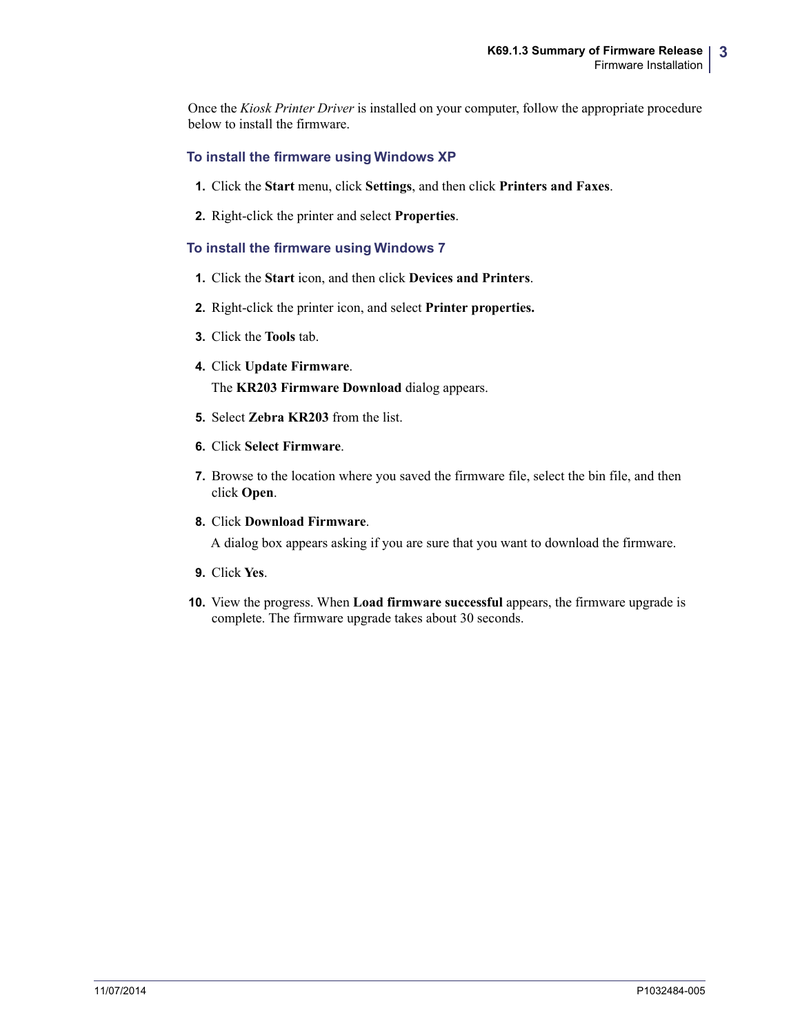Once the *Kiosk Printer Driver* is installed on your computer, follow the appropriate procedure below to install the firmware.

### **To install the firmware using Windows XP**

- **1.** Click the **Start** menu, click **Settings**, and then click **Printers and Faxes**.
- **2.** Right-click the printer and select **Properties**.

### **To install the firmware using Windows 7**

- **1.** Click the **Start** icon, and then click **Devices and Printers**.
- **2.** Right-click the printer icon, and select **Printer properties.**
- **3.** Click the **Tools** tab.
- **4.** Click **Update Firmware**. The **KR203 Firmware Download** dialog appears.
- **5.** Select **Zebra KR203** from the list.
- **6.** Click **Select Firmware**.
- **7.** Browse to the location where you saved the firmware file, select the bin file, and then click **Open**.
- **8.** Click **Download Firmware**.

A dialog box appears asking if you are sure that you want to download the firmware.

- **9.** Click **Yes**.
- **10.** View the progress. When **Load firmware successful** appears, the firmware upgrade is complete. The firmware upgrade takes about 30 seconds.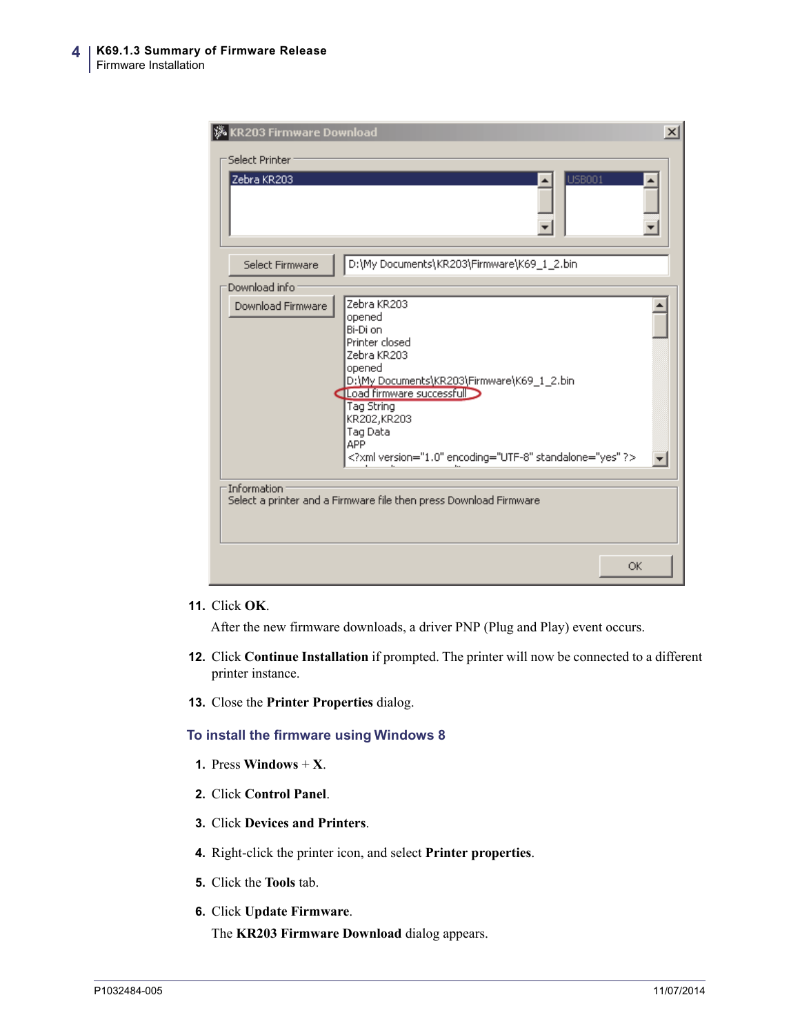| <b>W</b> KR203 Firmware Download<br>Select Printer<br>Zebra KR203 | $\vert x \vert$<br><b>USB001</b>                                                                                                                                                                                                                                        |
|-------------------------------------------------------------------|-------------------------------------------------------------------------------------------------------------------------------------------------------------------------------------------------------------------------------------------------------------------------|
| Select Firmware                                                   | D:\My Documents\KR203\Firmware\K69_1_2.bin                                                                                                                                                                                                                              |
| Download info                                                     |                                                                                                                                                                                                                                                                         |
| Download Firmware                                                 | Zebra KR203<br>opened<br>Bi-Di on<br>Printer closed<br>Zebra KR203<br>opened<br>D:\My Documents\KR203\Firmware\K69_1_2.bin<br>Load firmware successful<br>Tag String<br>KR202, KR203<br>Tag Data<br><b>APP</b><br>xml version="1.0" encoding="UTF-8" standalone="yes" ? |
| Information:                                                      | Select a printer and a Firmware file then press Download Firmware<br>OK                                                                                                                                                                                                 |

#### **11.** Click **OK**.

After the new firmware downloads, a driver PNP (Plug and Play) event occurs.

- **12.** Click **Continue Installation** if prompted. The printer will now be connected to a different printer instance.
- **13.** Close the **Printer Properties** dialog.

#### **To install the firmware using Windows 8**

- **1.** Press **Windows**  $+$  **X**.
- **2.** Click **Control Panel**.
- **3.** Click **Devices and Printers**.
- **4.** Right-click the printer icon, and select **Printer properties**.
- **5.** Click the **Tools** tab.
- **6.** Click **Update Firmware**. The **KR203 Firmware Download** dialog appears.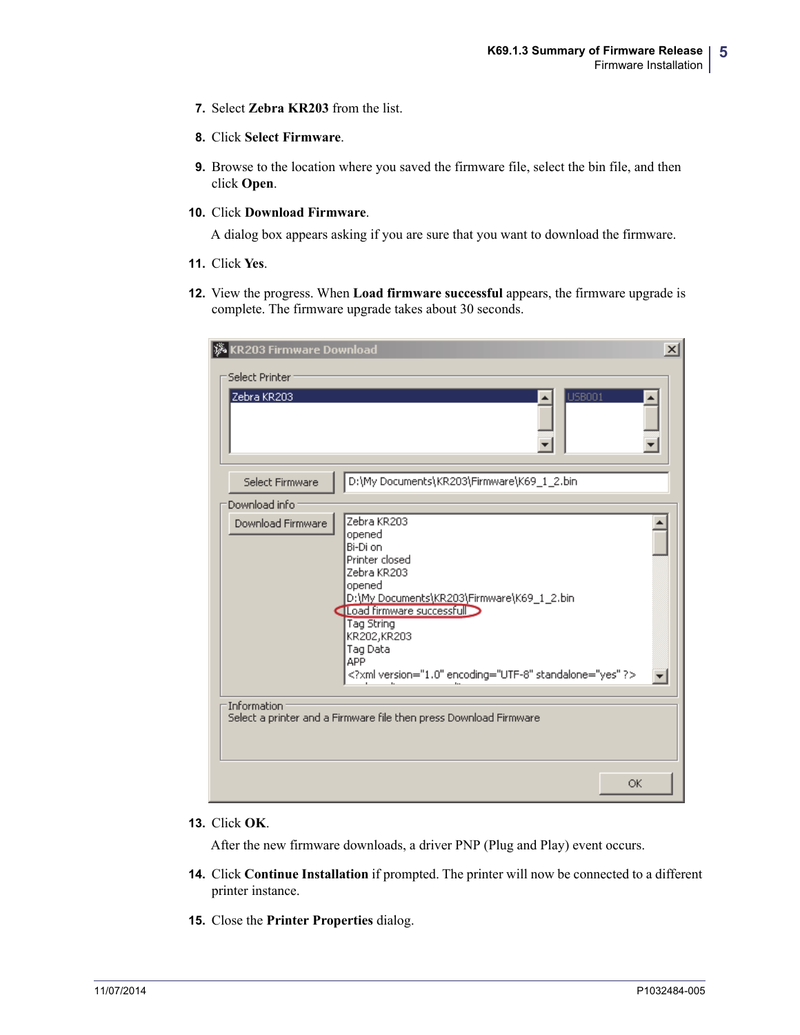**7.** Select **Zebra KR203** from the list.

### **8.** Click **Select Firmware**.

**9.** Browse to the location where you saved the firmware file, select the bin file, and then click **Open**.

#### **10.** Click **Download Firmware**.

A dialog box appears asking if you are sure that you want to download the firmware.

- **11.** Click **Yes**.
- **12.** View the progress. When **Load firmware successful** appears, the firmware upgrade is complete. The firmware upgrade takes about 30 seconds.

| <b>KR203 Firmware Download</b><br>Select Printer<br>Zebra KR203 | $\vert x \vert$<br><b>USB001</b>                                                                                                                                                                                                                                                          |
|-----------------------------------------------------------------|-------------------------------------------------------------------------------------------------------------------------------------------------------------------------------------------------------------------------------------------------------------------------------------------|
| Select Firmware                                                 | D:\My Documents\KR203\Firmware\K69_1_2.bin                                                                                                                                                                                                                                                |
| Download info                                                   |                                                                                                                                                                                                                                                                                           |
| Download Firmware                                               | Zebra KR203<br>opened<br>Bi-Di on<br>Printer closed<br>Zebra KR203<br>opened<br>D:\My Documents\KR203\Firmware\K69_1_2.bin<br>Load firmware successfull<br>Tag String<br>KR202, KR203<br>Tag Data<br><b>APP</b><br>xml version="1.0" encoding="UTF-8" standalone="yes" ?<br>and the state |
| Information                                                     | Select a printer and a Firmware file then press Download Firmware                                                                                                                                                                                                                         |
|                                                                 | OK                                                                                                                                                                                                                                                                                        |

#### **13.** Click **OK**.

After the new firmware downloads, a driver PNP (Plug and Play) event occurs.

- **14.** Click **Continue Installation** if prompted. The printer will now be connected to a different printer instance.
- **15.** Close the **Printer Properties** dialog.